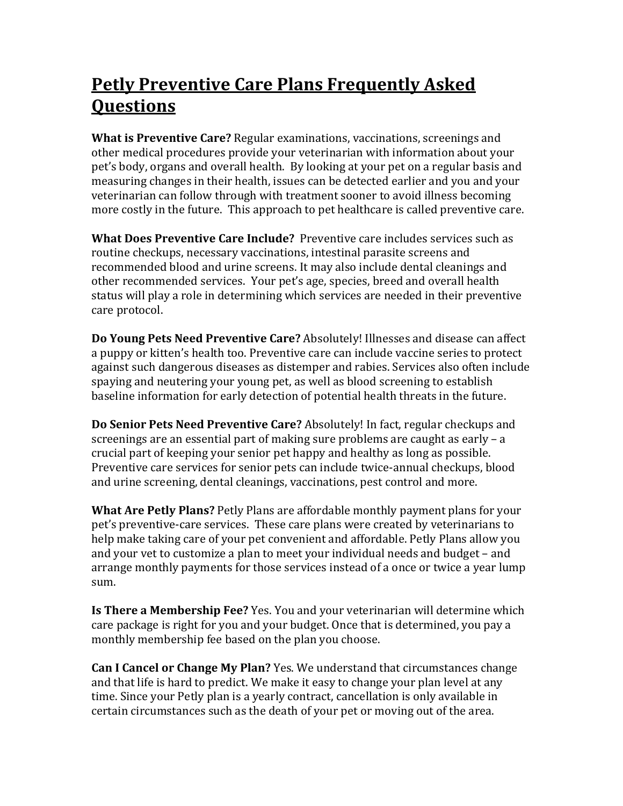## Petly Preventive Care Plans Frequently Asked **Ouestions**

What is Preventive Care? Regular examinations, vaccinations, screenings and other medical procedures provide your veterinarian with information about your pet's body, organs and overall health. By looking at your pet on a regular basis and measuring changes in their health, issues can be detected earlier and you and your veterinarian can follow through with treatment sooner to avoid illness becoming more costly in the future. This approach to pet healthcare is called preventive care.

What Does Preventive Care Include? Preventive care includes services such as routine checkups, necessary vaccinations, intestinal parasite screens and recommended blood and urine screens. It may also include dental cleanings and other recommended services. Your pet's age, species, breed and overall health status will play a role in determining which services are needed in their preventive care protocol.

Do Young Pets Need Preventive Care? Absolutely! Illnesses and disease can affect a puppy or kitten's health too. Preventive care can include vaccine series to protect against such dangerous diseases as distemper and rabies. Services also often include spaying and neutering your young pet, as well as blood screening to establish baseline information for early detection of potential health threats in the future.

Do Senior Pets Need Preventive Care? Absolutely! In fact, regular checkups and screenings are an essential part of making sure problems are caught as early – a crucial part of keeping your senior pet happy and healthy as long as possible. Preventive care services for senior pets can include twice-annual checkups, blood and urine screening, dental cleanings, vaccinations, pest control and more.

What Are Petly Plans? Petly Plans are affordable monthly payment plans for your pet's preventive-care services. These care plans were created by veterinarians to help make taking care of your pet convenient and affordable. Petly Plans allow you and your vet to customize a plan to meet your individual needs and budget – and arrange monthly payments for those services instead of a once or twice a year lump sum.

Is There a Membership Fee? Yes. You and your veterinarian will determine which care package is right for you and your budget. Once that is determined, you pay a monthly membership fee based on the plan you choose.

Can I Cancel or Change My Plan? Yes. We understand that circumstances change and that life is hard to predict. We make it easy to change your plan level at any time. Since your Petly plan is a yearly contract, cancellation is only available in certain circumstances such as the death of your pet or moving out of the area.